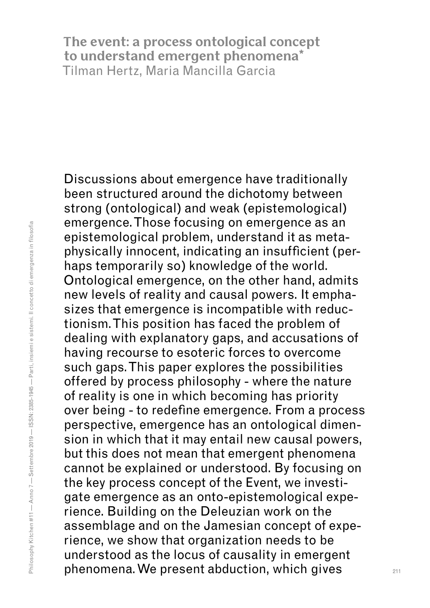**The event: a process ontological concept to understand emergent phenomena \***Tilman Hertz, Maria Mancilla Garcia

Discussions about emergence have traditionally been structured around the dichotomy between strong (ontological) and weak (epistemological) emergence. Those focusing on emergence as an epistemological problem, understand it as metaphysically innocent, indicating an insufficient (perhaps temporarily so) knowledge of the world. Ontological emergence, on the other hand, admits new levels of reality and causal powers. It emphasizes that emergence is incompatible with reductionism. This position has faced the problem of dealing with explanatory gaps, and accusations of having recourse to esoteric forces to overcome such gaps. This paper explores the possibilities offered by process philosophy - where the nature of reality is one in which becoming has priority over being - to redefine emergence. From a process perspective, emergence has an ontological dimension in which that it may entail new causal powers, but this does not mean that emergent phenomena cannot be explained or understood. By focusing on the key process concept of the Event, we investigate emergence as an onto-epistemological experience. Building on the Deleuzian work on the assemblage and on the Jamesian concept of experience, we show that organization needs to be understood as the locus of causality in emergent phenomena. We present abduction, which gives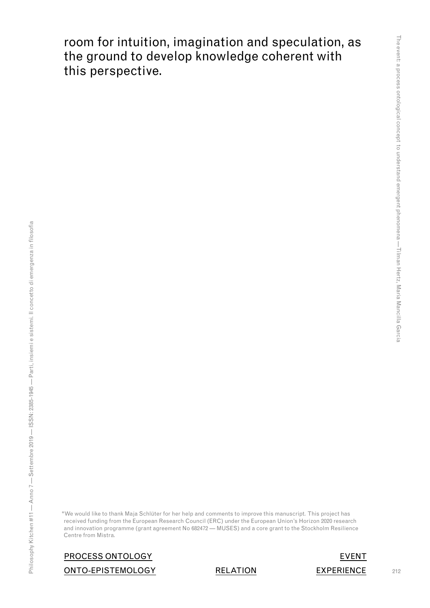room for intuition, imagination and speculation, as the ground to develop knowledge coherent with this perspective.

\*We would like to thank Maja Schlüter for her help and comments to improve this manuscript. This project has received funding from the European Research Council (ERC) under the European Union's Horizon 2020 research and innovation programme (grant agreement No 682472 — MUSES) and a core grant to the Stockholm Resilience Centre from Mistra.

# PROCESS ONTOLOGY EVENT ONTO-EPISTEMOLOGY RELATION EXPERIENCE

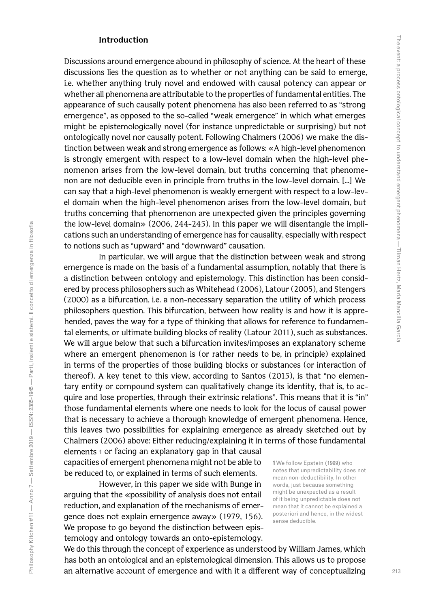#### **Introduction**

Discussions around emergence abound in philosophy of science. At the heart of these discussions lies the question as to whether or not anything can be said to emerge, i.e. whether anything truly novel and endowed with causal potency can appear or whether all phenomena are attributable to the properties of fundamental entities. The appearance of such causally potent phenomena has also been referred to as "strong emergence", as opposed to the so-called "weak emergence" in which what emerges might be epistemologically novel (for instance unpredictable or surprising) but not ontologically novel nor causally potent. Following Chalmers (2006) we make the distinction between weak and strong emergence as follows: «A high-level phenomenon is strongly emergent with respect to a low-level domain when the high-level phenomenon arises from the low-level domain, but truths concerning that phenomenon are not deducible even in principle from truths in the low-level domain. [...] We can say that a high-level phenomenon is weakly emergent with respect to a low-level domain when the high-level phenomenon arises from the low-level domain, but truths concerning that phenomenon are unexpected given the principles governing the low-level domain» (2006, 244-245). In this paper we will disentangle the implications such an understanding of emergence has for causality, especially with respect to notions such as "upward" and "downward" causation.

In particular, we will argue that the distinction between weak and strong emergence is made on the basis of a fundamental assumption, notably that there is a distinction between ontology and epistemology. This distinction has been considered by process philosophers such as Whitehead (2006), Latour (2005), and Stengers (2000) as a bifurcation, i.e. a non-necessary separation the utility of which process philosophers question. This bifurcation, between how reality is and how it is apprehended, paves the way for a type of thinking that allows for reference to fundamental elements, or ultimate building blocks of reality (Latour 2011), such as substances. We will argue below that such a bifurcation invites/imposes an explanatory scheme where an emergent phenomenon is (or rather needs to be, in principle) explained in terms of the properties of those building blocks or substances (or interaction of thereof). A key tenet to this view, according to Santos (2015), is that "no elementary entity or compound system can qualitatively change its identity, that is, to acquire and lose properties, through their extrinsic relations". This means that it is "in" those fundamental elements where one needs to look for the locus of causal power that is necessary to achieve a thorough knowledge of emergent phenomena. Hence, this leaves two possibilities for explaining emergence as already sketched out by Chalmers (2006) above: Either reducing/explaining it in terms of those fundamental elements **1** or facing an explanatory gap in that causal

capacities of emergent phenomena might not be able to be reduced to, or explained in terms of such elements.

However, in this paper we side with Bunge in arguing that the «possibility of analysis does not entail reduction, and explanation of the mechanisms of emergence does not explain emergence away» (1979, 156). We propose to go beyond the distinction between epistemology and ontology towards an onto-epistemology.

**1** We follow Epstein (1999) who notes that unpredictability does not mean non-deductibility. In other words, just because something might be unexpected as a result of it being unpredictable does not mean that it cannot be explained a posteriori and hence, in the widest sense deducible.

We do this through the concept of experience as understood by William James, which has both an ontological and an epistemological dimension. This allows us to propose an alternative account of emergence and with it a different way of conceptualizing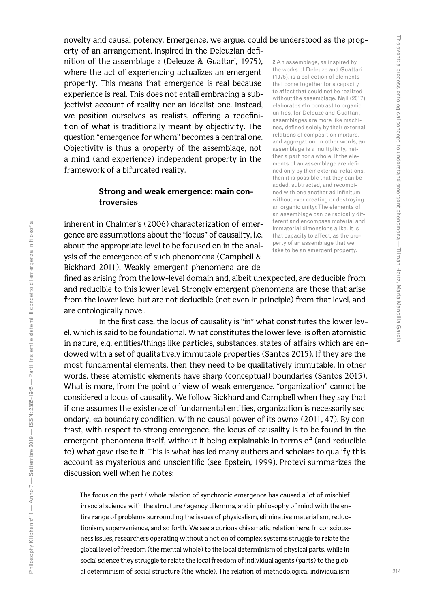novelty and causal potency. Emergence, we argue, could be understood as the prop-

erty of an arrangement, inspired in the Deleuzian definition of the assemblage **2** (Deleuze & Guattari, 1975), where the act of experiencing actualizes an emergent property. This means that emergence is real because experience is real. This does not entail embracing a subjectivist account of reality nor an idealist one. Instead, we position ourselves as realists, offering a redefinition of what is traditionally meant by objectivity. The question "emergence for whom" becomes a central one. Objectivity is thus a property of the assemblage, not a mind (and experience) independent property in the framework of a bifurcated reality.

### **Strong and weak emergence: main controversies**

inherent in Chalmer's (2006) characterization of emergence are assumptions about the "locus" of causality, i.e. about the appropriate level to be focused on in the analysis of the emergence of such phenomena (Campbell & Bickhard 2011). Weakly emergent phenomena are de**2** An assemblage, as inspired by the works of Deleuze and Guattari (1975), is a collection of elements that come together for a capacity to affect that could not be realized without the assemblage. Nail (2017) elaborates «In contrast to organic unities, for Deleuze and Guattari, assemblages are more like machines, defined solely by their external relations of composition mixture, and aggregation. In other words, an assemblage is a multiplicity, neither a part nor a whole. If the elements of an assemblage are defined only by their external relations, then it is possible that they can be added, subtracted, and recombined with one another ad infinitum without ever creating or destroying an organic unity» The elements of an assemblage can be radically different and encompass material and immaterial dimensions alike. It is that capacity to affect, as the property of an assemblage that we take to be an emergent property.

fined as arising from the low-level domain and, albeit unexpected, are deducible from and reducible to this lower level. Strongly emergent phenomena are those that arise from the lower level but are not deducible (not even in principle) from that level, and are ontologically novel.

In the first case, the locus of causality is "in" what constitutes the lower level, which is said to be foundational. What constitutes the lower level is often atomistic in nature, e.g. entities/things like particles, substances, states of affairs which are endowed with a set of qualitatively immutable properties (Santos 2015). If they are the most fundamental elements, then they need to be qualitatively immutable. In other words, these atomistic elements have sharp (conceptual) boundaries (Santos 2015). What is more, from the point of view of weak emergence, "organization" cannot be considered a locus of causality. We follow Bickhard and Campbell when they say that if one assumes the existence of fundamental entities, organization is necessarily secondary, «a boundary condition, with no causal power of its own» (2011, 47). By contrast, with respect to strong emergence, the locus of causality is to be found in the emergent phenomena itself, without it being explainable in terms of (and reducible to) what gave rise to it. This is what has led many authors and scholars to qualify this account as mysterious and unscientific (see Epstein, 1999). Protevi summarizes the discussion well when he notes:

The focus on the part / whole relation of synchronic emergence has caused a lot of mischief in social science with the structure / agency dilemma, and in philosophy of mind with the entire range of problems surrounding the issues of physicalism, eliminative materialism, reductionism, supervenience, and so forth. We see a curious chiasmatic relation here. In consciousness issues, researchers operating without a notion of complex systems struggle to relate the global level of freedom (the mental whole) to the local determinism of physical parts, while in social science they struggle to relate the local freedom of individual agents (parts) to the global determinism of social structure (the whole). The relation of methodological individualism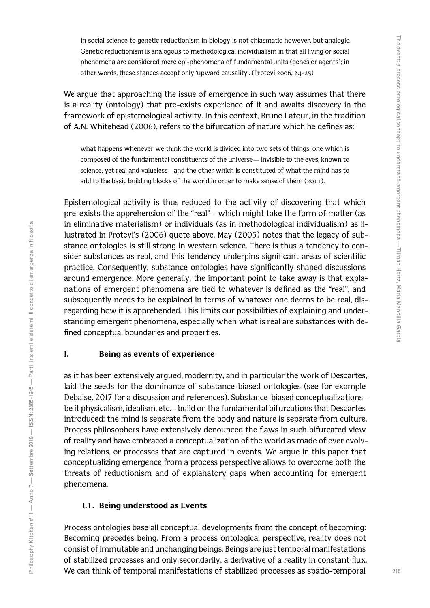in social science to genetic reductionism in biology is not chiasmatic however, but analogic. Genetic reductionism is analogous to methodological individualism in that all living or social phenomena are considered mere epi-phenomena of fundamental units (genes or agents); in other words, these stances accept only 'upward causality'. (Protevi 2006, 24-25)

We argue that approaching the issue of emergence in such way assumes that there is a reality (ontology) that pre-exists experience of it and awaits discovery in the framework of epistemological activity. In this context, Bruno Latour, in the tradition of A.N. Whitehead (2006), refers to the bifurcation of nature which he defines as:

what happens whenever we think the world is divided into two sets of things: one which is composed of the fundamental constituents of the universe— invisible to the eyes, known to science, yet real and valueless—and the other which is constituted of what the mind has to add to the basic building blocks of the world in order to make sense of them (2011).

Epistemological activity is thus reduced to the activity of discovering that which pre-exists the apprehension of the "real" - which might take the form of matter (as in eliminative materialism) or individuals (as in methodological individualism) as illustrated in Protevi's (2006) quote above. May (2005) notes that the legacy of substance ontologies is still strong in western science. There is thus a tendency to consider substances as real, and this tendency underpins significant areas of scientific practice. Consequently, substance ontologies have significantly shaped discussions around emergence. More generally, the important point to take away is that explanations of emergent phenomena are tied to whatever is defined as the "real", and subsequently needs to be explained in terms of whatever one deems to be real, disregarding how it is apprehended. This limits our possibilities of explaining and understanding emergent phenomena, especially when what is real are substances with defined conceptual boundaries and properties.

# **I. Being as events of experience**

as it has been extensively argued, modernity, and in particular the work of Descartes, laid the seeds for the dominance of substance-biased ontologies (see for example Debaise, 2017 for a discussion and references). Substance-biased conceptualizations be it physicalism, idealism, etc. - build on the fundamental bifurcations that Descartes introduced: the mind is separate from the body and nature is separate from culture. Process philosophers have extensively denounced the flaws in such bifurcated view of reality and have embraced a conceptualization of the world as made of ever evolving relations, or processes that are captured in events. We argue in this paper that conceptualizing emergence from a process perspective allows to overcome both the threats of reductionism and of explanatory gaps when accounting for emergent phenomena.

### **I.1. Being understood as Events**

Process ontologies base all conceptual developments from the concept of becoming: Becoming precedes being. From a process ontological perspective, reality does not consist of immutable and unchanging beings. Beings are just temporal manifestations of stabilized processes and only secondarily, a derivative of a reality in constant flux. We can think of temporal manifestations of stabilized processes as spatio-temporal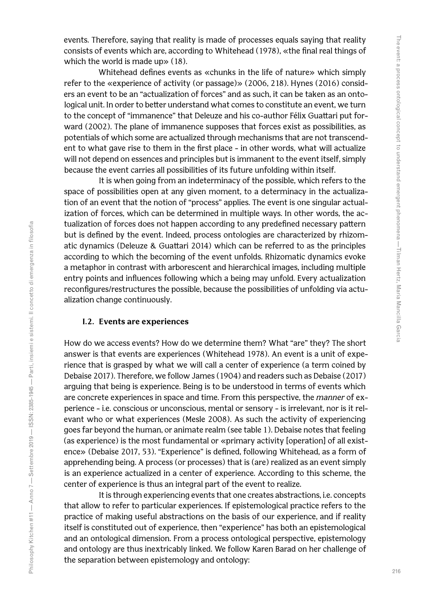events. Therefore, saying that reality is made of processes equals saying that reality consists of events which are, according to Whitehead (1978), «the final real things of which the world is made up» (18).

Whitehead defines events as «chunks in the life of nature» which simply refer to the «experience of activity (or passage)» (2006, 218). Hynes (2016) considers an event to be an "actualization of forces" and as such, it can be taken as an ontological unit. In order to better understand what comes to constitute an event, we turn to the concept of "immanence" that Deleuze and his co-author Félix Guattari put forward (2002). The plane of immanence supposes that forces exist as possibilities, as potentials of which some are actualized through mechanisms that are not transcendent to what gave rise to them in the first place - in other words, what will actualize will not depend on essences and principles but is immanent to the event itself, simply because the event carries all possibilities of its future unfolding within itself.

It is when going from an indeterminacy of the possible, which refers to the space of possibilities open at any given moment, to a determinacy in the actualization of an event that the notion of "process" applies. The event is one singular actualization of forces, which can be determined in multiple ways. In other words, the actualization of forces does not happen according to any predefined necessary pattern but is defined by the event. Indeed, process ontologies are characterized by rhizomatic dynamics (Deleuze & Guattari 2014) which can be referred to as the principles according to which the becoming of the event unfolds. Rhizomatic dynamics evoke a metaphor in contrast with arborescent and hierarchical images, including multiple entry points and influences following which a being may unfold. Every actualization reconfigures/restructures the possible, because the possibilities of unfolding via actualization change continuously.

### **I.2. Events are experiences**

How do we access events? How do we determine them? What "are" they? The short answer is that events are experiences (Whitehead 1978). An event is a unit of experience that is grasped by what we will call a center of experience (a term coined by Debaise 2017). Therefore, we follow James (1904) and readers such as Debaise (2017) arguing that being is experience. Being is to be understood in terms of events which are concrete experiences in space and time. From this perspective, the *manner* of experience - i.e. conscious or unconscious, mental or sensory - is irrelevant, nor is it relevant who or what experiences (Mesle 2008). As such the activity of experiencing goes far beyond the human, or animate realm (see table 1). Debaise notes that feeling (as experience) is the most fundamental or «primary activity [operation] of all existence» (Debaise 2017, 53). "Experience" is defined, following Whitehead, as a form of apprehending being. A process (or processes) that is (are) realized as an event simply is an experience actualized in a center of experience. According to this scheme, the center of experience is thus an integral part of the event to realize.

It is through experiencing events that one creates abstractions, i.e. concepts that allow to refer to particular experiences. If epistemological practice refers to the practice of making useful abstractions on the basis of our experience, and if reality itself is constituted out of experience, then "experience" has both an epistemological and an ontological dimension. From a process ontological perspective, epistemology and ontology are thus inextricably linked. We follow Karen Barad on her challenge of the separation between epistemology and ontology: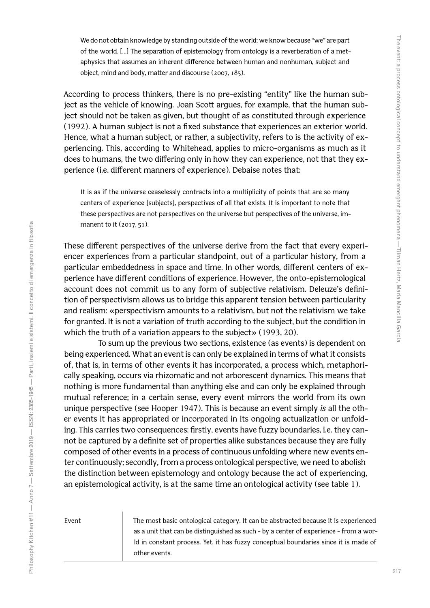We do not obtain knowledge by standing outside of the world; we know because "we" are part of the world. […] The separation of epistemology from ontology is a reverberation of a metaphysics that assumes an inherent difference between human and nonhuman, subject and object, mind and body, matter and discourse (2007, 185).

According to process thinkers, there is no pre-existing "entity" like the human subject as the vehicle of knowing. Joan Scott argues, for example, that the human subject should not be taken as given, but thought of as constituted through experience (1992). A human subject is not a fixed substance that experiences an exterior world. Hence, what a human subject, or rather, a subjectivity, refers to is the activity of experiencing. This, according to Whitehead, applies to micro-organisms as much as it does to humans, the two differing only in how they can experience, not that they experience (i.e. different manners of experience). Debaise notes that:

It is as if the universe ceaselessly contracts into a multiplicity of points that are so many centers of experience [subjects], perspectives of all that exists. It is important to note that these perspectives are not perspectives on the universe but perspectives of the universe, immanent to it (2017, 51).

These different perspectives of the universe derive from the fact that every experiencer experiences from a particular standpoint, out of a particular history, from a particular embeddedness in space and time. In other words, different centers of experience have different conditions of experience. However, the onto-epistemological account does not commit us to any form of subjective relativism. Deleuze's definition of perspectivism allows us to bridge this apparent tension between particularity and realism: «perspectivism amounts to a relativism, but not the relativism we take for granted. It is not a variation of truth according to the subject, but the condition in which the truth of a variation appears to the subject» (1993, 20).

To sum up the previous two sections, existence (as events) is dependent on being experienced. What an event is can only be explained in terms of what it consists of, that is, in terms of other events it has incorporated, a process which, metaphorically speaking, occurs via rhizomatic and not arborescent dynamics. This means that nothing is more fundamental than anything else and can only be explained through mutual reference; in a certain sense, every event mirrors the world from its own unique perspective (see Hooper 1947). This is because an event simply *is* all the other events it has appropriated or incorporated in its ongoing actualization or unfolding. This carries two consequences: firstly, events have fuzzy boundaries, i.e. they cannot be captured by a definite set of properties alike substances because they are fully composed of other events in a process of continuous unfolding where new events enter continuously; secondly, from a process ontological perspective, we need to abolish the distinction between epistemology and ontology because the act of experiencing, an epistemological activity, is at the same time an ontological activity (see table 1).

Event The most basic ontological category. It can be abstracted because it is experienced as a unit that can be distinguished as such - by a center of experience - from a world in constant process. Yet, it has fuzzy conceptual boundaries since it is made of other events.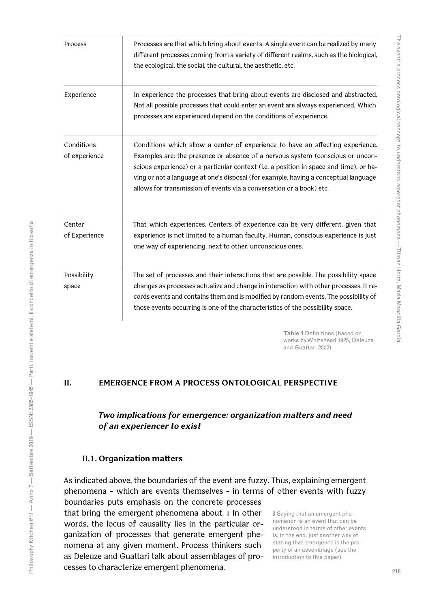| Process                     | Processes are that which bring about events. A single event can be realized by many<br>different processes coming from a variety of different realms, such as the biological,<br>the ecological, the social, the cultural, the aesthetic, etc.                                                                                                                                                                            |
|-----------------------------|---------------------------------------------------------------------------------------------------------------------------------------------------------------------------------------------------------------------------------------------------------------------------------------------------------------------------------------------------------------------------------------------------------------------------|
| Experience                  | In experience the processes that bring about events are disclosed and abstracted.<br>Not all possible processes that could enter an event are always experienced. Which<br>processes are experienced depend on the conditions of experience.                                                                                                                                                                              |
| Conditions<br>of experience | Conditions which allow a center of experience to have an affecting experience.<br>Examples are: the presence or absence of a nervous system (conscious or uncon-<br>scious experience) or a particular context (i.e. a position in space and time), or ha-<br>ving or not a language at one's disposal (for example, having a conceptual language<br>allows for transmission of events via a conversation or a book) etc. |
| Center<br>of Experience     | That which experiences. Centers of experience can be very different, given that<br>experience is not limited to a human faculty. Human, conscious experience is just<br>one way of experiencing, next to other, unconscious ones.                                                                                                                                                                                         |
| Possibility<br>space        | The set of processes and their interactions that are possible. The possibility space<br>changes as processes actualize and change in interaction with other processes. It re-<br>cords events and contains them and is modified by random events. The possibility of<br>those events occurring is one of the characteristics of the possibility space.                                                                    |

**Table 1** Definitions (based on works by Whitehead 1925, Deleuze and Guattari 2002)

# **II. EMERGENCE FROM A PROCESS ONTOLOGICAL PERSPECTIVE**

# *Two implications for emergence: organization matters and need of an experiencer to exist*

### **II.1. Organization matters**

As indicated above, the boundaries of the event are fuzzy. Thus, explaining emergent phenomena - which are events themselves - in terms of other events with fuzzy boundaries puts emphasis on the concrete processes

that bring the emergent phenomena about. **3** In other words, the locus of causality lies in the particular organization of processes that generate emergent phenomena at any given moment. Process thinkers such as Deleuze and Guattari talk about assemblages of processes to characterize emergent phenomena.

**3** Saying that an emergent phenomenon is an event that can be understood in terms of other events is, in the end, just another way of stating that emergence is the property of an assemblage (see the introduction to this paper)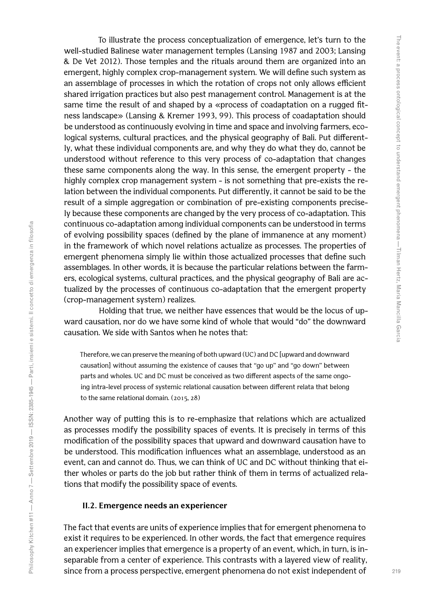To illustrate the process conceptualization of emergence, let's turn to the well-studied Balinese water management temples (Lansing 1987 and 2003; Lansing & De Vet 2012). Those temples and the rituals around them are organized into an emergent, highly complex crop-management system. We will define such system as an assemblage of processes in which the rotation of crops not only allows efficient shared irrigation practices but also pest management control. Management is at the same time the result of and shaped by a «process of coadaptation on a rugged fitness landscape» (Lansing & Kremer 1993, 99). This process of coadaptation should be understood as continuously evolving in time and space and involving farmers, ecological systems, cultural practices, and the physical geography of Bali. Put differently, what these individual components are, and why they do what they do, cannot be understood without reference to this very process of co-adaptation that changes these same components along the way. In this sense, the emergent property - the highly complex crop management system - is not something that pre-exists the relation between the individual components. Put differently, it cannot be said to be the result of a simple aggregation or combination of pre-existing components precisely because these components are changed by the very process of co-adaptation. This continuous co-adaptation among individual components can be understood in terms of evolving possibility spaces (defined by the plane of immanence at any moment) in the framework of which novel relations actualize as processes. The properties of emergent phenomena simply lie within those actualized processes that define such assemblages. In other words, it is because the particular relations between the farmers, ecological systems, cultural practices, and the physical geography of Bali are actualized by the processes of continuous co-adaptation that the emergent property (crop-management system) realizes.

Holding that true, we neither have essences that would be the locus of upward causation, nor do we have some kind of whole that would "do" the downward causation. We side with Santos when he notes that:

Therefore, we can preserve the meaning of both upward (UC) and DC [upward and downward causation] without assuming the existence of causes that ''go up'' and ''go down'' between parts and wholes. UC and DC must be conceived as two different aspects of the same ongoing intra-level process of systemic relational causation between different relata that belong to the same relational domain. (2015, 28)

Another way of putting this is to re-emphasize that relations which are actualized as processes modify the possibility spaces of events. It is precisely in terms of this modification of the possibility spaces that upward and downward causation have to be understood. This modification influences what an assemblage, understood as an event, can and cannot do. Thus, we can think of UC and DC without thinking that either wholes or parts do the job but rather think of them in terms of actualized relations that modify the possibility space of events.

#### **II.2. Emergence needs an experiencer**

The fact that events are units of experience implies that for emergent phenomena to exist it requires to be experienced. In other words, the fact that emergence requires an experiencer implies that emergence is a property of an event, which, in turn, is inseparable from a center of experience. This contrasts with a layered view of reality, since from a process perspective, emergent phenomena do not exist independent of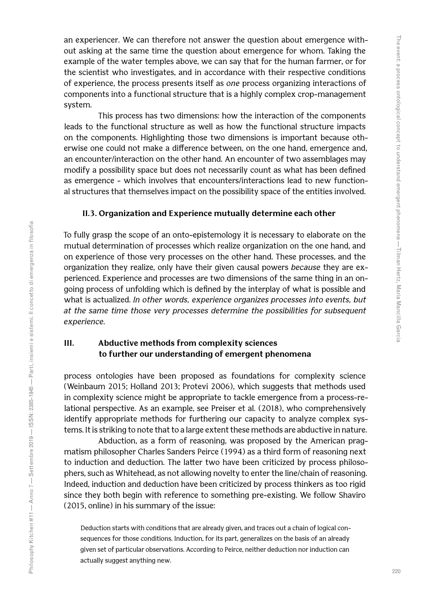an experiencer. We can therefore not answer the question about emergence without asking at the same time the question about emergence for whom. Taking the example of the water temples above, we can say that for the human farmer, or for the scientist who investigates, and in accordance with their respective conditions of experience, the process presents itself as *one* process organizing interactions of components into a functional structure that is a highly complex crop-management system.

This process has two dimensions: how the interaction of the components leads to the functional structure as well as how the functional structure impacts on the components. Highlighting those two dimensions is important because otherwise one could not make a difference between, on the one hand, emergence and, an encounter/interaction on the other hand. An encounter of two assemblages may modify a possibility space but does not necessarily count as what has been defined as emergence - which involves that encounters/interactions lead to new functional structures that themselves impact on the possibility space of the entities involved.

## **II.3. Organization and Experience mutually determine each other**

To fully grasp the scope of an onto-epistemology it is necessary to elaborate on the mutual determination of processes which realize organization on the one hand, and on experience of those very processes on the other hand. These processes, and the organization they realize, only have their given causal powers *because* they are experienced. Experience and processes are two dimensions of the same thing in an ongoing process of unfolding which is defined by the interplay of what is possible and what is actualized. *In other words, experience organizes processes into events, but at the same time those very processes determine the possibilities for subsequent experience.*

# **III. Abductive methods from complexity sciences to further our understanding of emergent phenomena**

process ontologies have been proposed as foundations for complexity science (Weinbaum 2015; Holland 2013; Protevi 2006), which suggests that methods used in complexity science might be appropriate to tackle emergence from a process-relational perspective. As an example, see Preiser et al. (2018), who comprehensively identify appropriate methods for furthering our capacity to analyze complex systems. It is striking to note that to a large extent these methods are abductive in nature.

Abduction, as a form of reasoning, was proposed by the American pragmatism philosopher Charles Sanders Peirce (1994) as a third form of reasoning next to induction and deduction. The latter two have been criticized by process philosophers, such as Whitehead, as not allowing novelty to enter the line/chain of reasoning. Indeed, induction and deduction have been criticized by process thinkers as too rigid since they both begin with reference to something pre-existing. We follow Shaviro (2015, online) in his summary of the issue:

Deduction starts with conditions that are already given, and traces out a chain of logical consequences for those conditions. Induction, for its part, generalizes on the basis of an already given set of particular observations. According to Peirce, neither deduction nor induction can actually suggest anything new.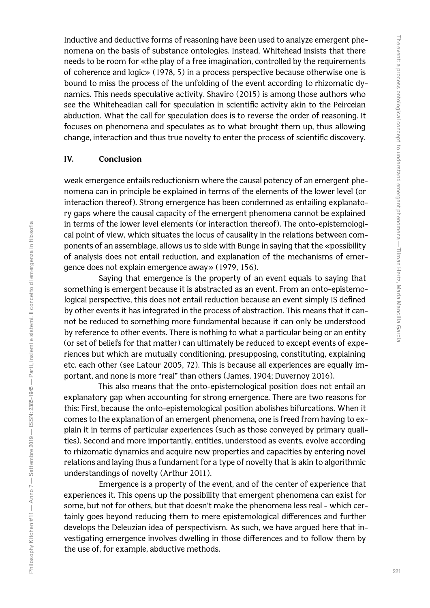Inductive and deductive forms of reasoning have been used to analyze emergent phenomena on the basis of substance ontologies. Instead, Whitehead insists that there needs to be room for «the play of a free imagination, controlled by the requirements of coherence and logic» (1978, 5) in a process perspective because otherwise one is bound to miss the process of the unfolding of the event according to rhizomatic dynamics. This needs speculative activity. Shaviro (2015) is among those authors who see the Whiteheadian call for speculation in scientific activity akin to the Peirceian abduction. What the call for speculation does is to reverse the order of reasoning. It focuses on phenomena and speculates as to what brought them up, thus allowing change, interaction and thus true novelty to enter the process of scientific discovery.

#### **IV. Conclusion**

weak emergence entails reductionism where the causal potency of an emergent phenomena can in principle be explained in terms of the elements of the lower level (or interaction thereof). Strong emergence has been condemned as entailing explanatory gaps where the causal capacity of the emergent phenomena cannot be explained in terms of the lower level elements (or interaction thereof). The onto-epistemological point of view, which situates the locus of causality in the relations between components of an assemblage, allows us to side with Bunge in saying that the «possibility of analysis does not entail reduction, and explanation of the mechanisms of emergence does not explain emergence away» (1979, 156).

Saying that emergence is the property of an event equals to saying that something is emergent because it is abstracted as an event. From an onto-epistemological perspective, this does not entail reduction because an event simply IS defined by other events it has integrated in the process of abstraction. This means that it cannot be reduced to something more fundamental because it can only be understood by reference to other events. There is nothing to what a particular being or an entity (or set of beliefs for that matter) can ultimately be reduced to except events of experiences but which are mutually conditioning, presupposing, constituting, explaining etc. each other (see Latour 2005, 72). This is because all experiences are equally important, and none is more "real" than others (James, 1904; Duvernoy 2016).

This also means that the onto-epistemological position does not entail an explanatory gap when accounting for strong emergence. There are two reasons for this: First, because the onto-epistemological position abolishes bifurcations. When it comes to the explanation of an emergent phenomena, one is freed from having to explain it in terms of particular experiences (such as those conveyed by primary qualities). Second and more importantly, entities, understood as events, evolve according to rhizomatic dynamics and acquire new properties and capacities by entering novel relations and laying thus a fundament for a type of novelty that is akin to algorithmic understandings of novelty (Arthur 2011).

Emergence is a property of the event, and of the center of experience that experiences it. This opens up the possibility that emergent phenomena can exist for some, but not for others, but that doesn't make the phenomena less real - which certainly goes beyond reducing them to mere epistemological differences and further develops the Deleuzian idea of perspectivism. As such, we have argued here that investigating emergence involves dwelling in those differences and to follow them by the use of, for example, abductive methods.

221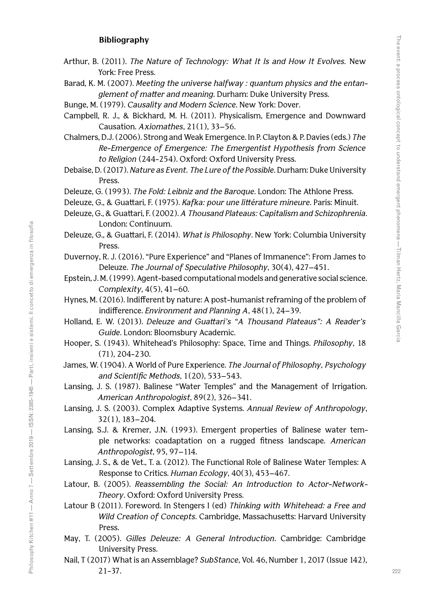#### **Bibliography**

- Arthur, B. (2011). *The Nature of Technology: What It Is and How It Evolves.* New York: Free Press.
- Barad, K. M. (2007). *Meeting the universe halfway : quantum physics and the entanglement of matter and meaning*. Durham: Duke University Press.
- Bunge, M. (1979). *Causality and Modern Science*. New York: Dover.
- Campbell, R. J., & Bickhard, M. H. (2011). Physicalism, Emergence and Downward Causation. *Axiomathes*, 21(1), 33–56.
- Chalmers, D.J. (2006). Strong and Weak Emergence. In P. Clayton & P. Davies (eds.) *The Re-Emergence of Emergence: The Emergentist Hypothesis from Science to Religion* (244-254). Oxford: Oxford University Press.
- Debaise, D. (2017). *Nature as Event. The Lure of the Possible*. Durham: Duke University Press.
- Deleuze, G. (1993). *The Fold: Leibniz and the Baroque*. London: The Athlone Press.
- Deleuze, G., & Guattari, F. (1975). *Kafka: pour une littérature mineure*. Paris: Minuit.
- Deleuze, G., & Guattari, F. (2002). *A Thousand Plateaus: Capitalism and Schizophrenia*. London: Continuum.
- Deleuze, G., & Guattari, F. (2014). *What is Philosophy*. New York: Columbia University Press.
- Duvernoy, R. J. (2016). "Pure Experience" and "Planes of Immanence": From James to Deleuze. *The Journal of Speculative Philosophy*, 30(4), 427–451.
- Epstein, J. M. (1999). Agent-based computational models and generative social science. *Complexity*, 4(5), 41–60.
- Hynes, M. (2016). Indifferent by nature: A post-humanist reframing of the problem of indifference. *Environment and Planning A*, 48(1), 24–39.
- Holland, E. W. (2013). *Deleuze and Guattari's "A Thousand Plateaus": A Reader's Guide*. London: Bloomsbury Academic.
- Hooper, S. (1943). Whitehead's Philosophy: Space, Time and Things. *Philosophy*, 18 (71), 204-230.
- James, W. (1904). A World of Pure Experience. *The Journal of Philosophy, Psychology and Scientific Methods*, 1(20), 533–543.
- Lansing, J. S. (1987). Balinese "Water Temples" and the Management of Irrigation. *American Anthropologist*, 89(2), 326–341.
- Lansing, J. S. (2003). Complex Adaptive Systems. *Annual Review of Anthropology*, 32(1), 183–204.
- Lansing, S.J. & Kremer, J.N. (1993). Emergent properties of Balinese water temple networks: coadaptation on a rugged fitness landscape. *American Anthropologist*, 95, 97–114.
- Lansing, J. S., & de Vet., T. a. (2012). The Functional Role of Balinese Water Temples: A Response to Critics. *Human Ecology*, 40(3), 453–467.
- Latour, B. (2005). *Reassembling the Social: An Introduction to Actor-Network-Theory*. Oxford: Oxford University Press.
- Latour B (2011). Foreword. In Stengers I (ed) *Thinking with Whitehead: a Free and Wild Creation of Concepts*. Cambridge, Massachusetts: Harvard University Press.
- May, T. (2005). *Gilles Deleuze: A General Introduction*. Cambridge: Cambridge University Press.
- Nail, T (2017) What is an Assemblage? *SubStance*, Vol. 46, Number 1, 2017 (Issue 142), 21-37.